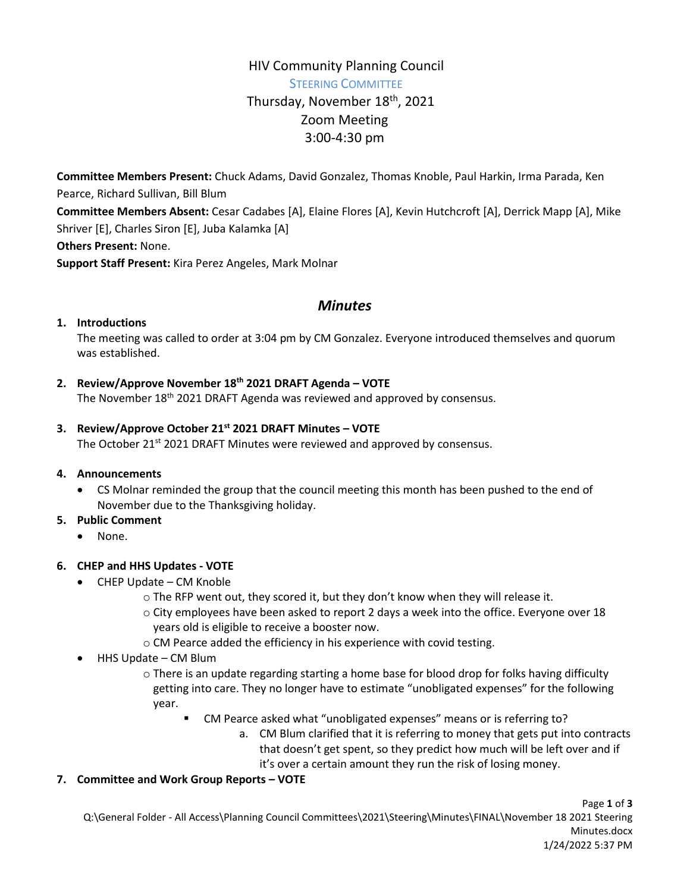# HIV Community Planning Council STEERING COMMITTEE Thursday, November 18<sup>th</sup>, 2021 Zoom Meeting 3:00-4:30 pm

**Committee Members Present:** Chuck Adams, David Gonzalez, Thomas Knoble, Paul Harkin, Irma Parada, Ken Pearce, Richard Sullivan, Bill Blum **Committee Members Absent:** Cesar Cadabes [A], Elaine Flores [A], Kevin Hutchcroft [A], Derrick Mapp [A], Mike Shriver [E], Charles Siron [E], Juba Kalamka [A] **Others Present:** None.

**Support Staff Present:** Kira Perez Angeles, Mark Molnar

# *Minutes*

# **1. Introductions**

The meeting was called to order at 3:04 pm by CM Gonzalez. Everyone introduced themselves and quorum was established.

# **2. Review/Approve November 18th 2021 DRAFT Agenda – VOTE**

The November 18<sup>th</sup> 2021 DRAFT Agenda was reviewed and approved by consensus.

#### **3. Review/Approve October 21st 2021 DRAFT Minutes – VOTE**

The October 21<sup>st</sup> 2021 DRAFT Minutes were reviewed and approved by consensus.

#### **4. Announcements**

 CS Molnar reminded the group that the council meeting this month has been pushed to the end of November due to the Thanksgiving holiday.

#### **5. Public Comment**

None.

# **6. CHEP and HHS Updates - VOTE**

- CHEP Update CM Knoble
	- $\circ$  The RFP went out, they scored it, but they don't know when they will release it.
	- o City employees have been asked to report 2 days a week into the office. Everyone over 18 years old is eligible to receive a booster now.
	- o CM Pearce added the efficiency in his experience with covid testing.
- HHS Update CM Blum
	- $\circ$  There is an update regarding starting a home base for blood drop for folks having difficulty getting into care. They no longer have to estimate "unobligated expenses" for the following year.
		- CM Pearce asked what "unobligated expenses" means or is referring to?
			- a. CM Blum clarified that it is referring to money that gets put into contracts that doesn't get spent, so they predict how much will be left over and if it's over a certain amount they run the risk of losing money.

# **7. Committee and Work Group Reports – VOTE**

Page **1** of **3** Q:\General Folder - All Access\Planning Council Committees\2021\Steering\Minutes\FINAL\November 18 2021 Steering Minutes.docx 1/24/2022 5:37 PM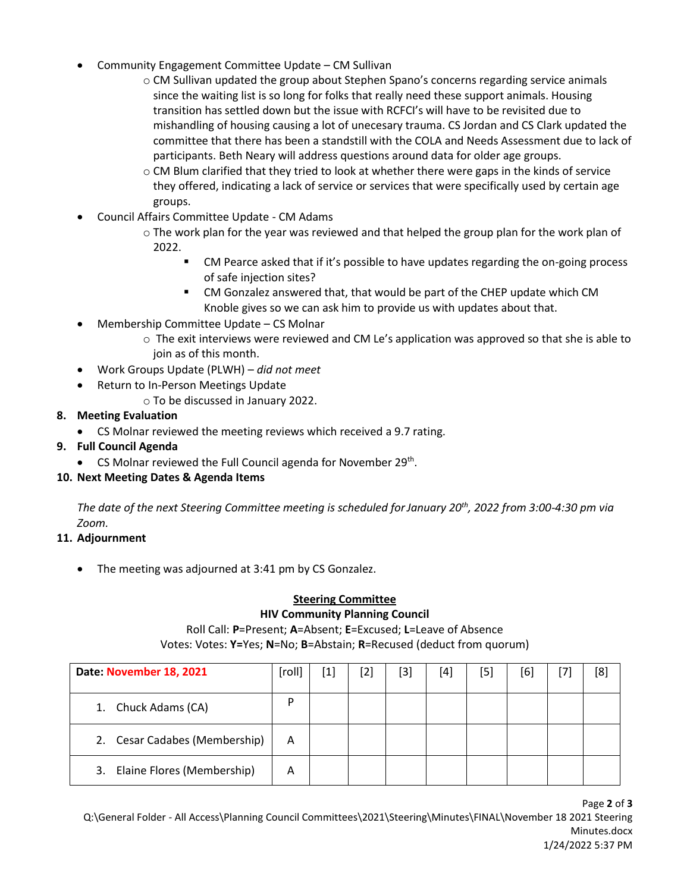- Community Engagement Committee Update CM Sullivan
	- o CM Sullivan updated the group about Stephen Spano's concerns regarding service animals since the waiting list is so long for folks that really need these support animals. Housing transition has settled down but the issue with RCFCI's will have to be revisited due to mishandling of housing causing a lot of unecesary trauma. CS Jordan and CS Clark updated the committee that there has been a standstill with the COLA and Needs Assessment due to lack of participants. Beth Neary will address questions around data for older age groups.
	- o CM Blum clarified that they tried to look at whether there were gaps in the kinds of service they offered, indicating a lack of service or services that were specifically used by certain age groups.
- Council Affairs Committee Update CM Adams
	- $\circ$  The work plan for the year was reviewed and that helped the group plan for the work plan of 2022.
		- CM Pearce asked that if it's possible to have updates regarding the on-going process of safe injection sites?
		- CM Gonzalez answered that, that would be part of the CHEP update which CM Knoble gives so we can ask him to provide us with updates about that.
- Membership Committee Update CS Molnar
	- $\circ$  The exit interviews were reviewed and CM Le's application was approved so that she is able to join as of this month.
- Work Groups Update (PLWH) *did not meet*
- Return to In-Person Meetings Update
	- o To be discussed in January 2022.

# **8. Meeting Evaluation**

CS Molnar reviewed the meeting reviews which received a 9.7 rating.

# **9. Full Council Agenda**

• CS Molnar reviewed the Full Council agenda for November 29<sup>th</sup>.

# **10. Next Meeting Dates & Agenda Items**

*The date of the next Steering Committee meeting is scheduled forJanuary 20th, 2022 from 3:00-4:30 pm via Zoom.*

# **11. Adjournment**

• The meeting was adjourned at 3:41 pm by CS Gonzalez.

#### **Steering Committee HIV Community Planning Council**

# Roll Call: **P**=Present; **A**=Absent; **E**=Excused; **L**=Leave of Absence

Votes: Votes: **Y=**Yes; **N**=No; **B**=Abstain; **R**=Recused (deduct from quorum)

| Date: November 18, 2021          | [roll] | $\left[ 1 \right]$ | [2] | [3] | [4] | [5] | [6] | [8] |
|----------------------------------|--------|--------------------|-----|-----|-----|-----|-----|-----|
| Chuck Adams (CA)<br>1.           | D      |                    |     |     |     |     |     |     |
| 2. Cesar Cadabes (Membership)    | A      |                    |     |     |     |     |     |     |
| Elaine Flores (Membership)<br>3. | Α      |                    |     |     |     |     |     |     |

Page **2** of **3**

Q:\General Folder - All Access\Planning Council Committees\2021\Steering\Minutes\FINAL\November 18 2021 Steering Minutes.docx 1/24/2022 5:37 PM